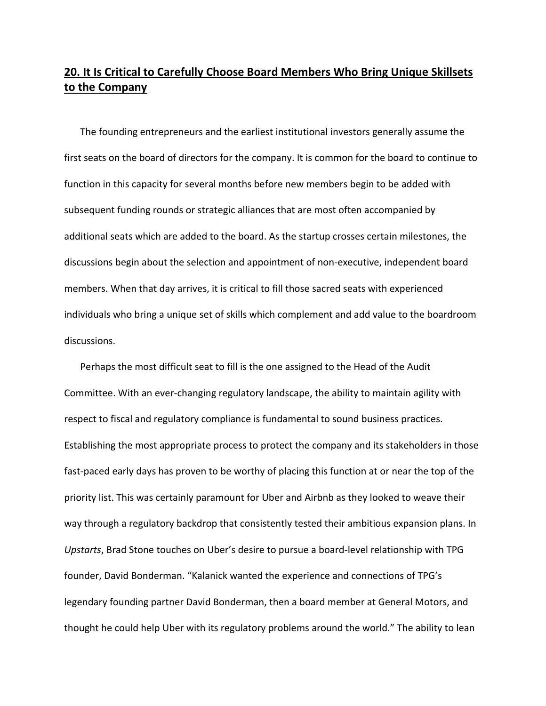## **20. It Is Critical to Carefully Choose Board Members Who Bring Unique Skillsets to the Company**

The founding entrepreneurs and the earliest institutional investors generally assume the first seats on the board of directors for the company. It is common for the board to continue to function in this capacity for several months before new members begin to be added with subsequent funding rounds or strategic alliances that are most often accompanied by additional seats which are added to the board. As the startup crosses certain milestones, the discussions begin about the selection and appointment of non‐executive, independent board members. When that day arrives, it is critical to fill those sacred seats with experienced individuals who bring a unique set of skills which complement and add value to the boardroom discussions.

Perhaps the most difficult seat to fill is the one assigned to the Head of the Audit Committee. With an ever‐changing regulatory landscape, the ability to maintain agility with respect to fiscal and regulatory compliance is fundamental to sound business practices. Establishing the most appropriate process to protect the company and its stakeholders in those fast-paced early days has proven to be worthy of placing this function at or near the top of the priority list. This was certainly paramount for Uber and Airbnb as they looked to weave their way through a regulatory backdrop that consistently tested their ambitious expansion plans. In *Upstarts*, Brad Stone touches on Uber's desire to pursue a board‐level relationship with TPG founder, David Bonderman. "Kalanick wanted the experience and connections of TPG's legendary founding partner David Bonderman, then a board member at General Motors, and thought he could help Uber with its regulatory problems around the world." The ability to lean